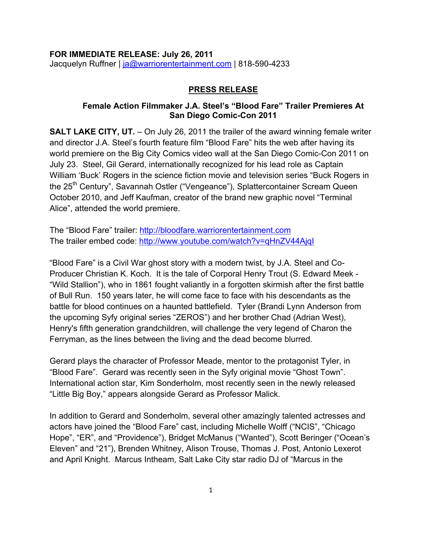#### **FOR IMMEDIATE RELEASE: July 26, 2011** Jacquelyn Ruffner | ja@warriorentertainment.com | 818-590-4233

#### **PRESS RELEASE**

### **Female Action Filmmaker J.A. Steel's "Blood Fare" Trailer Premieres At San Diego Comic-Con 2011**

**SALT LAKE CITY, UT.** – On July 26, 2011 the trailer of the award winning female writer and director J.A. Steel's fourth feature film "Blood Fare" hits the web after having its world premiere on the Big City Comics video wall at the San Diego Comic-Con 2011 on July 23. Steel, Gil Gerard, internationally recognized for his lead role as Captain William 'Buck' Rogers in the science fiction movie and television series "Buck Rogers in the 25<sup>th</sup> Century", Savannah Ostler ("Vengeance"), Splattercontainer Scream Queen October 2010, and Jeff Kaufman, creator of the brand new graphic novel "Terminal Alice", attended the world premiere.

The "Blood Fare" trailer: http://bloodfare.warriorentertainment.com The trailer embed code: http://www.youtube.com/watch?v=qHnZV44AjqI

"Blood Fare" is a Civil War ghost story with a modern twist, by J.A. Steel and Co-Producer Christian K. Koch. It is the tale of Corporal Henry Trout (S. Edward Meek - "Wild Stallion"), who in 1861 fought valiantly in a forgotten skirmish after the first battle of Bull Run. 150 years later, he will come face to face with his descendants as the battle for blood continues on a haunted battlefield. Tyler (Brandi Lynn Anderson from the upcoming Syfy original series "ZEROS") and her brother Chad (Adrian West), Henry's fifth generation grandchildren, will challenge the very legend of Charon the Ferryman, as the lines between the living and the dead become blurred.

Gerard plays the character of Professor Meade, mentor to the protagonist Tyler, in "Blood Fare". Gerard was recently seen in the Syfy original movie "Ghost Town". International action star, Kim Sonderholm, most recently seen in the newly released "Little Big Boy," appears alongside Gerard as Professor Malick.

In addition to Gerard and Sonderholm, several other amazingly talented actresses and actors have joined the "Blood Fare" cast, including Michelle Wolff ("NCIS", "Chicago Hope", "ER", and "Providence"), Bridget McManus ("Wanted"), Scott Beringer ("Ocean's Eleven" and "21"), Brenden Whitney, Alison Trouse, Thomas J. Post, Antonio Lexerot and April Knight. Marcus Intheam, Salt Lake City star radio DJ of "Marcus in the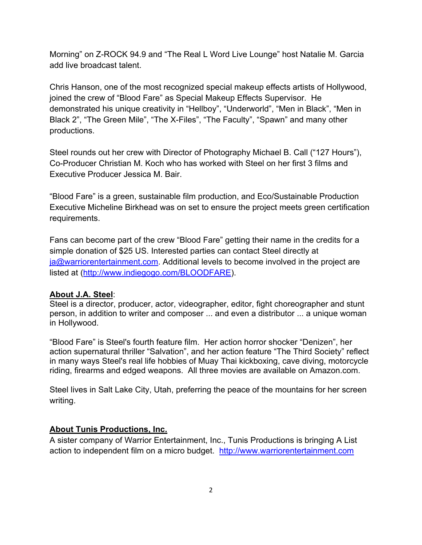Morning" on Z-ROCK 94.9 and "The Real L Word Live Lounge" host Natalie M. Garcia add live broadcast talent.

Chris Hanson, one of the most recognized special makeup effects artists of Hollywood, joined the crew of "Blood Fare" as Special Makeup Effects Supervisor. He demonstrated his unique creativity in "Hellboy", "Underworld", "Men in Black", "Men in Black 2", "The Green Mile", "The X-Files", "The Faculty", "Spawn" and many other productions.

Steel rounds out her crew with Director of Photography Michael B. Call ("127 Hours"), Co-Producer Christian M. Koch who has worked with Steel on her first 3 films and Executive Producer Jessica M. Bair.

"Blood Fare" is a green, sustainable film production, and Eco/Sustainable Production Executive Micheline Birkhead was on set to ensure the project meets green certification requirements.

Fans can become part of the crew "Blood Fare" getting their name in the credits for a simple donation of \$25 US. Interested parties can contact Steel directly at ja@warriorentertainment.com. Additional levels to become involved in the project are listed at (http://www.indiegogo.com/BLOODFARE).

### **About J.A. Steel**:

Steel is a director, producer, actor, videographer, editor, fight choreographer and stunt person, in addition to writer and composer ... and even a distributor ... a unique woman in Hollywood.

"Blood Fare" is Steel's fourth feature film. Her action horror shocker "Denizen", her action supernatural thriller "Salvation", and her action feature "The Third Society" reflect in many ways Steel's real life hobbies of Muay Thai kickboxing, cave diving, motorcycle riding, firearms and edged weapons. All three movies are available on Amazon.com.

Steel lives in Salt Lake City, Utah, preferring the peace of the mountains for her screen writing.

# **About Tunis Productions, Inc.**

A sister company of Warrior Entertainment, Inc., Tunis Productions is bringing A List action to independent film on a micro budget. http://www.warriorentertainment.com